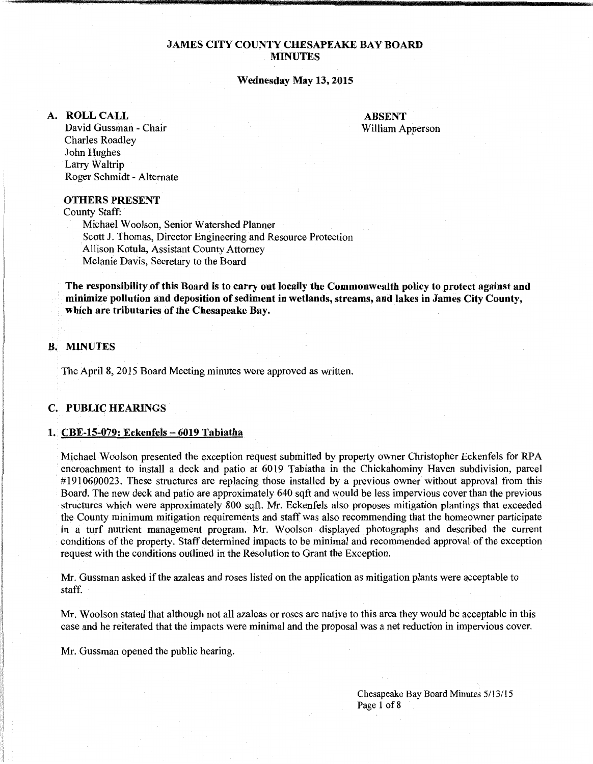# JAMES CITY COUNTY CHESAPEAKE BAY BOARD MINUTES

## Wednesday May 13, 2015

## A. ROLLCALL

ABSENT William Apperson

David Gussman - Chair Charles Roadley John Hughes Larry Waltrip Roger Schmidt - Alternate

## OTHERS PRESENT

County Staff:

Michael Woolson, Senior Watershed Planner Scott J. Thomas, Director Engineering and Resource Protection Allison Kotula, Assistant County Attorney Melanie Davis, Secretary to the Board

The responsibility of this Board is to carry out locally the Commonwealth policy to protect against and minimize pollution and deposition of sediment in wetlands, streams, and lakes in James City County, which are tributaries of the Chesapeake Bay.

# B. MINUTES

'I

:1 !I 1'( -11 in 1991.<br>Politika  $\mathbb{I}$ i l<br>Bartonia<br>Bartonia ! The April 8, 2015 Board Meeting minutes were approved as written.

### C. PUBLIC HEARINGS

## 1. CBE-15-079: Eckenfels - 6019 Tabiatha

Michael Woolson presented the exception request submitted by property owner Christopher Eckenfels for RPA encroachment to install a deck and patio at 6019 Tabiatha in the Chickahominy Haven subdivision, parcel #1910600023. These structures are replacing those installed by a previous owner without approval from this Board. The new deck and patio are approximately 640 sqft and would be less impervious cover than the previous structures which were approximately 800 sqft. Mr. Eckenfels also proposes mitigation plantings that exceeded the County minimum mitigation requirements and staff was also recommending that the homeowner participate in a turf nutrient management program. Mr. Woolson displayed photographs and described the current conditions of the property. Staff determined impacts to be minimal and recommended approval of the exception request with the conditions outlined in the Resolution to Grant the Exception.

Mr. Gussman asked if the azaleas and roses listed on the application as mitigation plants were acceptable to staff.

Mr. Woolson stated that although not all azaleas or roses are native to this area they would be acceptable in this case and he reiterated that the impacts were minimal and the proposal was a net reduction in impervious cover.

Mr. Gussman opened the public hearing.

Chesapeake Bay Board Minutes 5/13/15 Page 1 of 8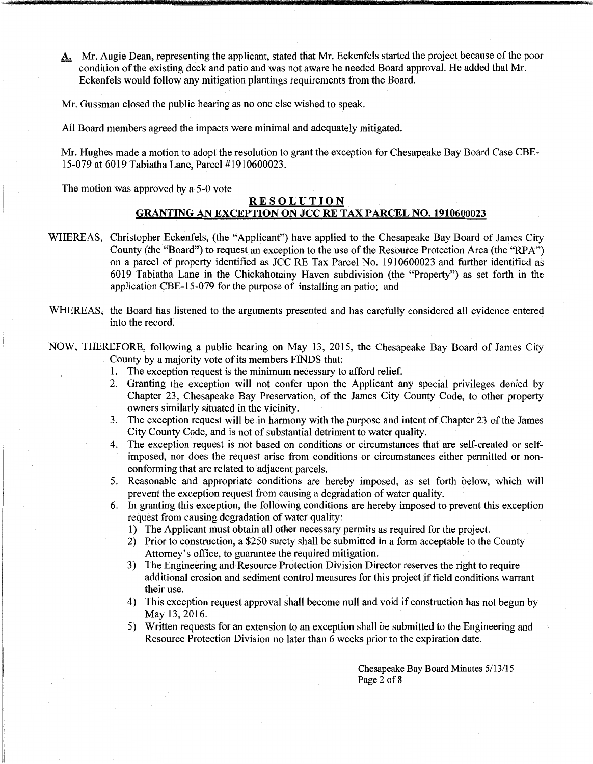A: Mr. Augie Dean, representing the applicant, stated that Mr. Eckenfels started the project because of the poor condition of the existing deck and patio and was not aware he needed Board approval. He added that Mr. Eckenfels would follow any mitigation plantings requirements from the Board.

Mr. Gussman closed the public hearing as no one else wished to speak.

All Board members agreed the impacts were minimal and adequately mitigated.

Mr. Hughes made a motion to adopt the resolution to grant the exception for Chesapeake Bay Board Case CBE-15-079 at 6019 Tabiatha Lane, Parcel #1910600023.

The motion was approved by a 5-0 vote

# **RESOLUTION GRANTING AN EXCEPTION ON JCC RE TAX PARCEL NO. 1910600023**

- WHEREAS, Christopher Eckenfels, (the "Applicant") have applied to the Chesapeake Bay Board of James City County (the "Board") to request an exception to the use of the Resource Protection Area (the "RPA") on a parcel of property identified as JCC RE Tax Parcel No. 1910600023 and further identified as 6019 Tabiatha Lane in the Chickahominy Haven subdivision (the "Property") as set forth in the application CBE-15-079 for the purpose of installing an patio; and
- WHEREAS, the Board has listened to the arguments presented and has carefully considered all evidence entered into the record.
- NOW, THEREFORE, following a public hearing on May 13, 2015, the Chesapeake Bay Board of James City County by a majority vote of its members FINDS that:
	- 1. The exception request is the minimum necessary to afford relief.
	- 2. Granting the exception will not confer upon the Applicant any special privileges denied by Chapter 23, Chesapeake Bay Preservation, of the James City County Code, to other property owners similarly situated in the vicinity.
	- 3. The exception request will be in harmony with the purpose and intent of Chapter 23 of the James City County Code, and is not of substantial detriment to water quality.
	- 4. The exception request is not based on conditions or circumstances that are self-created or selfimposed, nor does the request arise from conditions or circumstances either permitted or nonconforming that are related to adjacent parcels.
	- 5. Reasonable and appropriate conditions are hereby imposed, as set forth below, which will prevent the exception request from causing a degradation of water quality.
	- 6. In granting this exception, the following conditions are hereby imposed to prevent this exception request from causing degradation of water quality:
		- 1) The Applicant must obtain all other necessary permits as required for the project.
		- 2) Prior to construction, a \$250 surety shall be submitted in a form acceptable to the County Attorney's office, to guarantee the required mitigation.
		- 3) The Engineering and Resource Protection Division Director reserves the right to require additional erosion and sediment control measures for this project if field conditions warrant their use.
		- 4) This exception request approval shall become null and void if construction has not begun by May 13, 2016.
		- 5) Written requests for an extension to an exception shall be submitted to the Engineering and Resource Protection Division no later than 6 weeks prior to the expiration date.

Chesapeake Bay Board Minutes 5/13/15 Page 2 of 8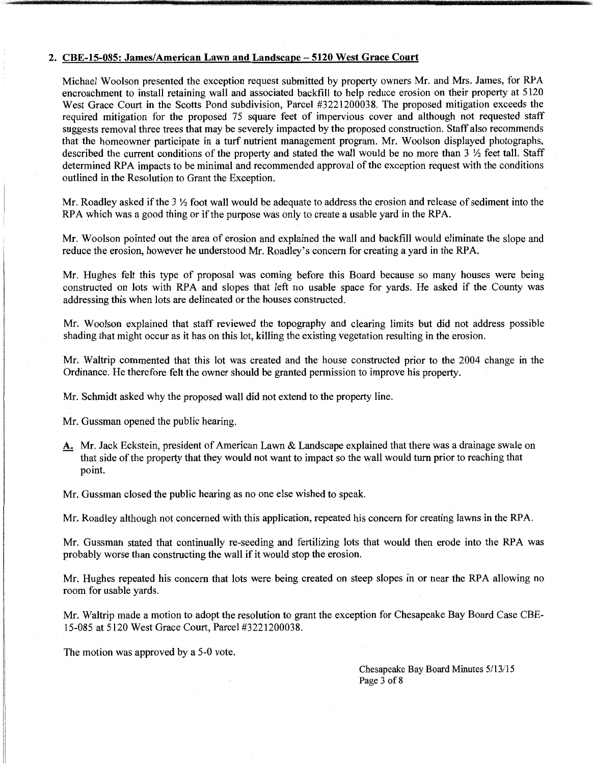#### 2. CBE-15-085: James/American Lawn and Landscape- 5120 West Grace Court

Michael Woolson presented the exception request submitted by property owners Mr. and Mrs. James, for RPA encroachment to install retaining wall and associated backfill to help reduce erosion on their property at 5120 West Grace Court in the Scotts Pond subdivision, Parcel #3221200038. The proposed mitigation exceeds the required mitigation for the proposed 75 square feet of impervious cover and although not requested staff suggests removal three trees that may be severely impacted by the proposed construction. Staff also recommends that the homeowner participate in a turf nutrient management program. Mr. Woolson displayed photographs, described the current conditions of the property and stated the wall would be no more than 3 *Yz* feet tall. Staff determined RPA impacts to be minimal and recommended approval of the exception request with the conditions outlined in the Resolution to Grant the Exception.

Mr. Roadley asked if the 3 *Yz* foot wall would be adequate to address the erosion and release of sediment into the RPA which was a good thing or if the purpose was only to create a usable yard in the RPA.

Mr. Woolson pointed out the area of erosion and explained the wall and backfill would eliminate the slope and reduce the erosion, however he understood Mr. Roadley's concern for creating a yard in the RPA.

Mr. Hughes felt this type of proposal was coming before this Board because so many houses were being constructed on lots with RPA and slopes that left no usable space for yards. He asked if the County was addressing this when lots are delineated or the houses constructed.

Mr. Woolson explained that staff reviewed the topography and clearing limits but did not address possible shading that might occur as it has on this lot, killing the existing vegetation resulting in the erosion.

Mr. Waltrip commented that this lot was created and the house constructed prior to the 2004 change in the Ordinance. He therefore felt the owner should be granted permission to improve his property.

Mr. Schmidt asked why the proposed wall did not extend to the property line.

Mr. Gussman opened the public hearing.

A. Mr. Jack Eckstein, president of American Lawn & Landscape explained that there was a drainage swale on that side of the property that they would not want to impact so the wall would turn prior to reaching that point.

Mr. Gussman closed the public hearing as no one else wished to speak.

Mr. Roadley although not concerned with this application, repeated his concern for creating lawns in the RPA.

Mr. Gussman stated that continually re-seeding and fertilizing lots that would then erode into the RPA was probably worse than constructing the wall if it would stop the erosion.

Mr. Hughes repeated his concern that lots were being created on steep slopes in or near the RPA allowing no room for usable yards.

Mr. Waltrip made a motion to adopt the resolution to grant the exception for Chesapeake Bay Board Case CBE-15-085 at 5120 West Grace Court, Parcel #3221200038.

The motion was approved by a 5-0 vote.

Chesapeake Bay Board Minutes 5/13/15 Page 3 of 8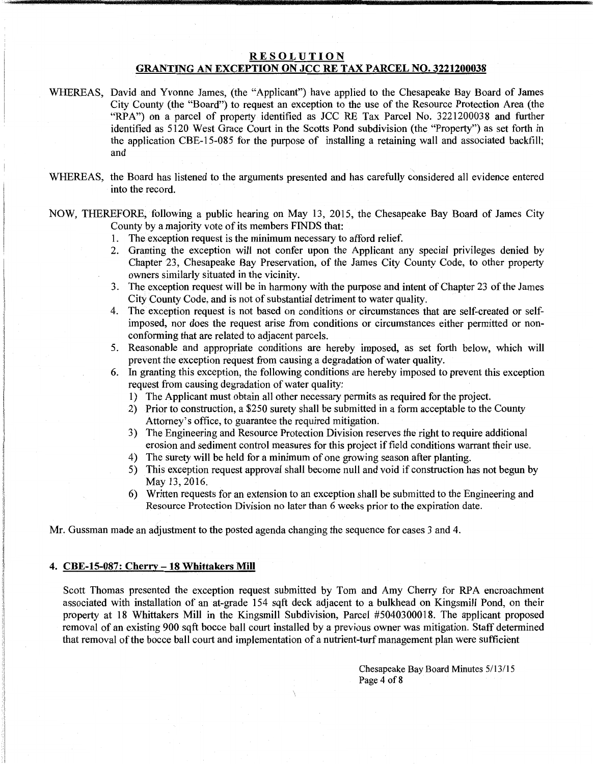# RESOLUTION GRANTING AN EXCEPTION ON JCC RE TAX PARCEL NO. 3221200038

- WHEREAS, David and Yvonne James, (the "Applicant") have applied to the Chesapeake Bay Board of James City County (the "Board") to request an exception to the use of the Resource Protection Area (the "RPA") on a parcel of property identified as JCC RE Tax Parcel No. 3221200038 and further identified as 5120 West Grace Court in the Scotts Pond subdivision (the "Property") as set forth in the application CBE-15-085 for the purpose of installing a retaining wall and associated backfill; and
- WHEREAS, the Board has listened to the arguments presented and has carefully considered all evidence entered into the record.

NOW, THEREFORE, following a public hearing on May 13, 2015, the Chesapeake Bay Board of James City County by a majority vote of its members FINDS that:

- 1. The exception request is the minimum necessary to afford relief.
- 2. Granting the exception will not confer upon the Applicant any special privileges denied by Chapter 23, Chesapeake Bay Preservation, of the James City County Code, to other property owners similarly situated in the vicinity.
- 3. The exception request will be in harmony with the purpose and intent of Chapter 23 of the James City County Code, and is not of substantial detriment to water quality.
- 4. The exception request is not based on conditions or circumstances that are self-created or selfimposed, nor does the request arise from conditions or circumstances either permitted or nonconforming that are related to adjacent parcels.
- 5. Reasonable and appropriate conditions are hereby imposed, as set forth below, which will prevent the exception request from causing a degradation of water quality.
- 6. In granting this exception, the following conditions are hereby imposed to prevent this exception request from causing degradation of water quality:
	- 1) The Applicant must obtain all other necessary permits as required for the project.
	- 2) Prior to construction, a \$250 surety shall be submitted in a form acceptable to the County Attorney's office, to guarantee the required mitigation.
	- 3) The Engineering and Resource Protection Division reserves the right to require additional erosion and sediment control measures for this project if field conditions warrant their use.
	- 4) The surety will be held for a minimum of one growing season after planting.
	- 5) This exception request approval shall become null and void if construction has not begun by May 13, 2016.
	- 6) Written requests for an extension to an exception shall be submitted to the Engineering and Resource Protection Division no later than 6 weeks prior to the expiration date.

Mr. Gussman made an adjustment to the posted agenda changing the sequence for cases 3 and 4.

#### 4. CBE-15-087: Cherry-18 Whittakers Mill

Scott Thomas presented the exception request submitted by Tom and Amy Cherry for RPA encroachment associated with installation of an at-grade 154 sqft deck adjacent to a bulkhead on Kingsmill Pond, on their property at 18 Whittakers Mill in the Kingsmill Subdivision, Parcel #5040300018. The applicant proposed removal of an existing 900 sqft bocce ball court installed by a previous owner was mitigation. Staff determined that removal of the bocce ball court and implementation of a nutrient-turf management plan were sufficient

> Chesapeake Bay Board Minutes 5/13/15 Page 4 of 8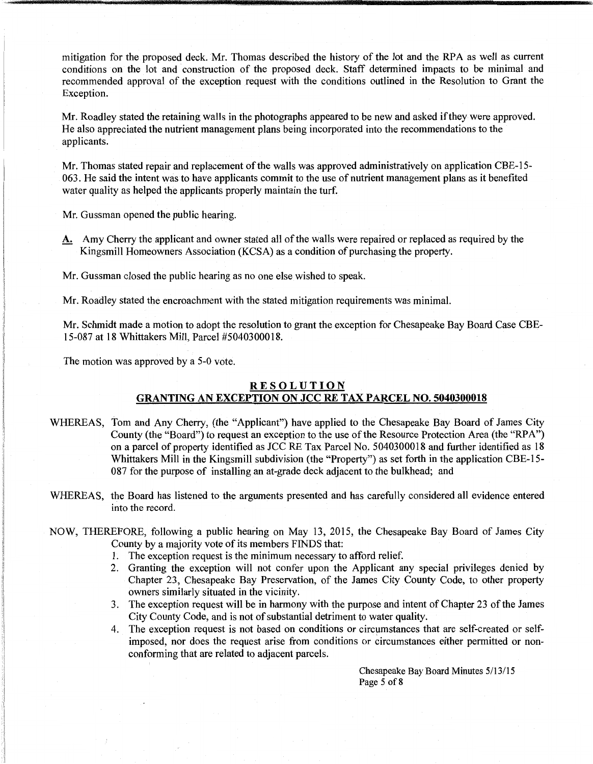mitigation for the proposed deck. Mr. Thomas described the history of the lot and the RPA as well as current conditions on the lot and construction of the proposed deck. Staff determined impacts to be minimal and recommended approval of the exception request with the conditions outlined in the Resolution to Grant the Exception.

Mr. Roadley stated the retaining walls in the photographs appeared to be new and asked if they were approved. He also appreciated the nutrient management plans being incorporated into the recommendations to the applicants.

Mr. Thomas stated repair and replacement of the walls was approved administratively on application CBE-15- 063. He said the intent was to have applicants commit to the use of nutrient management plans as it benefited water quality as helped the applicants properly maintain the turf.

Mr. Gussman opened the public hearing.

A. Amy Cherry the applicant and owner stated all of the walls were repaired or replaced as required by the Kingsmill Homeowners Association (KCSA) as a condition of purchasing the property.

Mr. Gussman closed the public hearing as no one else wished to speak.

Mr. Roadley stated the encroachment with the stated mitigation requirements was minimal.

Mr. Schmidt made a motion to adopt the resolution to grant the exception for Chesapeake Bay Board Case CBE-15-087 at 18 Whittakers Mill, Parcel #5040300018.

The motion was approved by a 5-0 vote.

# **RESOLUTION**

# **GRANTING AN EXCEPTION ON JCC RE TAX PARCEL NO. 5040300018**

- WHEREAS, Tom and Any Cherry, (the "Applicant") have applied to the Chesapeake Bay Board of James City County (the "Board") to request an exception to the use of the Resource Protection Area (the "RPA") on a parcel of property identified as JCC RE Tax Parcel No. 5040300018 and further identified as 18 Whittakers Mill in the Kingsmill subdivision (the "Property") as set forth in the application CBE-15- 087 for the purpose of installing an at-grade deck adjacent to the bulkhead; and
- WHEREAS, the Board has listened to the arguments presented and has carefully considered all evidence entered into the record.
- NOW, THEREFORE, following a public hearing on May 13, 2015, the Chesapeake Bay Board of James City County by a majority vote of its members FINDS that:
	- 1. The exception request is the minimum necessary to afford relief.
	- 2. Granting the exception will not confer upon the Applicant any special privileges denied by Chapter 23, Chesapeake Bay Preservation, of the James City County Code, to other property owners similarly situated in the vicinity.
	- 3. The exception request will be in harmony with the purpose and intent of Chapter 23 of the James City County Code, and is not of substantial detriment to water quality.
	- 4. The exception request is not based on conditions or circumstances that are self-created or selfimposed, nor does the request arise from conditions or circumstances either permitted or nonconforming that are related to adjacent parcels.

Chesapeake Bay Board Minutes 5/13/15 Page 5 of 8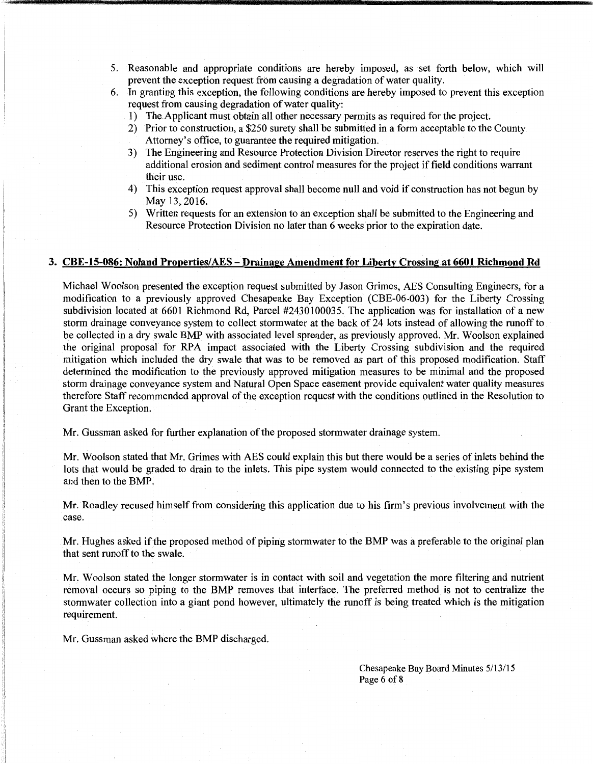- 5. Reasonable and appropriate conditions are hereby imposed, as set forth below, which will prevent the exception request from causing a degradation of water quality.
- 6. In granting this exception, the following conditions are hereby imposed to prevent this exception request from causing degradation of water quality:
	- 1) The Applicant must obtain all other necessary permits as required for the project.
	- 2) Prior to construction, a \$250 surety shall be submitted in a form acceptable to the County Attorney's office, to guarantee the required mitigation.
	- 3) The Engineering and Resource Protection Division Director reserves the right to require additional erosion and sediment control measures for the project if field conditions warrant their use.
	- 4) This exception request approval shall become null and void if construction has not begun by May 13, 2016.
	- 5) Written requests for an extension to an exception shall be submitted to the Engineering and Resource Protection Division no later than 6 weeks prior to the expiration date.

## 3. CBE-15-086: Noland Properties/AES-Drainage Amendment for Liberty Crossing at 6601 Richmond Rd

Michael Woolson presented the exception request submitted by Jason Grimes, AES Consulting Engineers, for a modification to a previously approved Chesapeake Bay Exception (CBE-06-003) for the Liberty Crossing subdivision located at 6601 Richmond Rd, Parcel #2430100035. The application was for installation of a new storm drainage conveyance system to collect stormwater at the back of 24 lots instead of allowing the runoff to be collected in a dry swale BMP with associated level spreader, as previously approved. Mr. Woolson explained the original proposal for RPA impact associated with the Liberty Crossing subdivision and the required mitigation which included the dry swale that was to be removed as part of this proposed modification. Staff determined the modification to the previously approved mitigation measures to be minimal and the proposed storm drainage conveyance system and Natural Open Space easement provide equivalent water quality measures therefore Staff recommended approval of the exception request with the conditions outlined in the Resolution to Grant the Exception.

Mr. Gussman asked for further explanation of the proposed stormwater drainage system.

Mr. Woolson stated that Mr. Grimes with AES could explain this but there would be a series of inlets behind the lots that would be graded to drain to the inlets. This pipe system would connected to the existing pipe system and then to the BMP.

Mr. Roadley recused himself from considering this application due to his firm's previous involvement with the case.

Mr. Hughes asked if the proposed method of piping stormwater to the BMP was a preferable to the original plan that sent runoff to the swale.

Mr. Woolson stated the longer stormwater is in contact with soil and vegetation the more filtering and nutrient removal occurs so piping to the BMP removes that interface. The preferred method is not to centralize the stormwater collection into a giant pond however, ultimately the runoff is being treated which is the mitigation requirement.

Mr. Gussman asked where the BMP discharged.

Chesapeake Bay Board Minutes 5/13/15 Page 6 of 8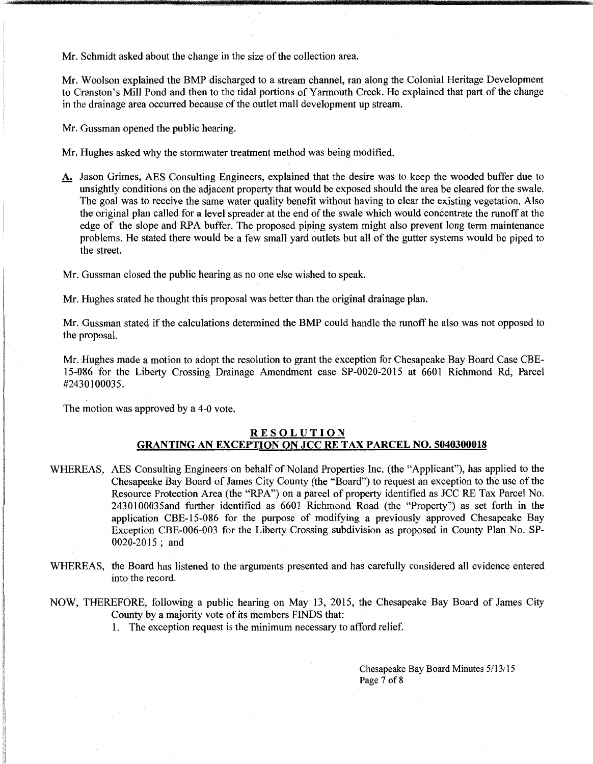Mr. Schmidt asked about the change in the size of the collection area.

Mr. Woolson explained the BMP discharged to a stream channel, ran along the Colonial Heritage Development to Cranston's Mill Pond and then to the tidal portions of Yarmouth Creek. He explained that part of the change in the drainage area occurred because of the outlet mall development up stream.

Mr. Gussman opened the public hearing.

Mr. Hughes asked why the stormwater treatment method was being modified.

A. Jason Grimes, AES Consulting Engineers, explained that the desire was to keep the wooded buffer due to unsightly conditions on the adjacent property that would be exposed should the area be cleared for the swale. The goal was to receive the same water quality benefit without having to clear the existing vegetation. Also the original plan called for a level spreader at the end of the swale which would concentrate the runoff at the edge of the slope and RPA buffer. The proposed piping system might also prevent long term maintenance problems. He stated there would be a few small yard outlets but all of the gutter systems would be piped to the street.

Mr. Gussman closed the public hearing as no one else wished to speak.

Mr. Hughes stated he thought this proposal was better than the original drainage plan.

Mr. Gussman stated if the calculations determined the BMP could handle the runoff he also was not opposed to the proposal.

Mr. Hughes made a motion to adopt the resolution to grant the exception for Chesapeake Bay Board Case CBEl 5~086 for the Liberty Crossing Drainage Amendment case SP-0020-2015 at 6601 Richmond Rd, Parcel #2430100035.

The motion was approved by a 4-0 vote.

# **RESOLUTION GRANTING AN EXCEPTION ON JCC RE TAX PARCEL NO. 5040300018**

- WHEREAS, AES Consulting Engineers on behalf of Noland Properties Inc. (the "Applicant"), has applied to the Chesapeake Bay Board of James City County (the "Board") to request an exception to the use of the Resource Protection Area (the "RPA") on a parcel of property identified as JCC RE Tax Parcel No. 2430100035and further identified as 6601 Richmond Road (the "Property") as set forth in the application CBE-15-086 for the purpose of modifying a previously approved Chesapeake Bay Exception CBE-006-003 for the Liberty Crossing subdivision as proposed in County Plan No. SP-0020-2015 ; and
- WHEREAS, the Board has listened to the arguments presented and has carefully considered all evidence entered into the record.
- NOW, THEREFORE, following a public hearing on May 13, 2015, the Chesapeake Bay Board of James City County by a majority vote of its members FINDS that:

I. The exception request is the minimum necessary to afford relief.

Chesapeake Bay Board Minutes 5/13/15 Page 7 of 8